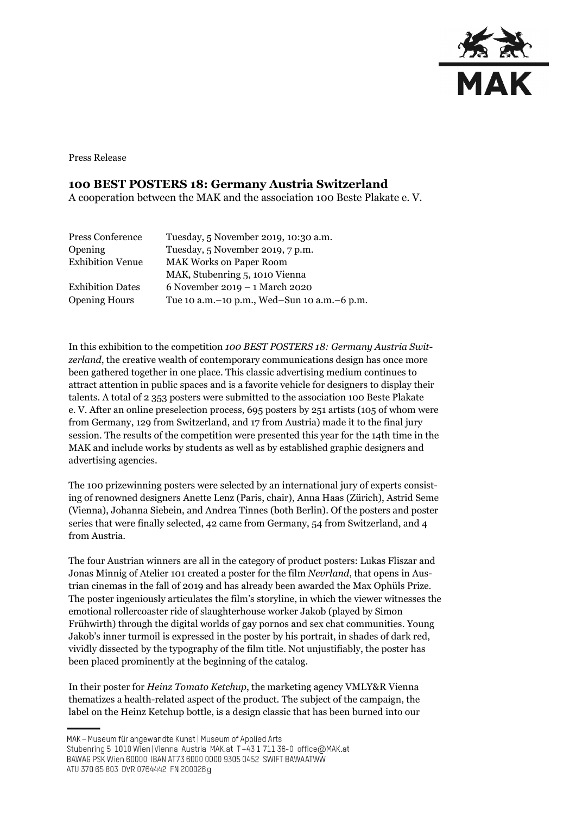

Press Release

## **100 BEST POSTERS 18: Germany Austria Switzerland**

A cooperation between the MAK and the association 100 Beste Plakate e. V.

| Press Conference        | Tuesday, 5 November 2019, 10:30 a.m.            |
|-------------------------|-------------------------------------------------|
| Opening                 | Tuesday, 5 November 2019, 7 p.m.                |
| <b>Exhibition Venue</b> | <b>MAK Works on Paper Room</b>                  |
|                         | MAK, Stubenring 5, 1010 Vienna                  |
| <b>Exhibition Dates</b> | 6 November 2019 – 1 March 2020                  |
| <b>Opening Hours</b>    | Tue 10 a.m. - 10 p.m., Wed-Sun 10 a.m. - 6 p.m. |

In this exhibition to the competition *100 BEST POSTERS 18: Germany Austria Switzerland*, the creative wealth of contemporary communications design has once more been gathered together in one place. This classic advertising medium continues to attract attention in public spaces and is a favorite vehicle for designers to display their talents. A total of 2 353 posters were submitted to the association 100 Beste Plakate e. V. After an online preselection process, 695 posters by 251 artists (105 of whom were from Germany, 129 from Switzerland, and 17 from Austria) made it to the final jury session. The results of the competition were presented this year for the 14th time in the MAK and include works by students as well as by established graphic designers and advertising agencies.

The 100 prizewinning posters were selected by an international jury of experts consisting of renowned designers Anette Lenz (Paris, chair), Anna Haas (Zürich), Astrid Seme (Vienna), Johanna Siebein, and Andrea Tinnes (both Berlin). Of the posters and poster series that were finally selected, 42 came from Germany, 54 from Switzerland, and 4 from Austria.

The four Austrian winners are all in the category of product posters: Lukas Fliszar and Jonas Minnig of Atelier 101 created a poster for the film *Nevrland*, that opens in Austrian cinemas in the fall of 2019 and has already been awarded the Max Ophüls Prize. The poster ingeniously articulates the film's storyline, in which the viewer witnesses the emotional rollercoaster ride of slaughterhouse worker Jakob (played by Simon Frühwirth) through the digital worlds of gay pornos and sex chat communities. Young Jakob's inner turmoil is expressed in the poster by his portrait, in shades of dark red, vividly dissected by the typography of the film title. Not unjustifiably, the poster has been placed prominently at the beginning of the catalog.

In their poster for *Heinz Tomato Ketchup*, the marketing agency VMLY&R Vienna thematizes a health-related aspect of the product. The subject of the campaign, the label on the Heinz Ketchup bottle, is a design classic that has been burned into our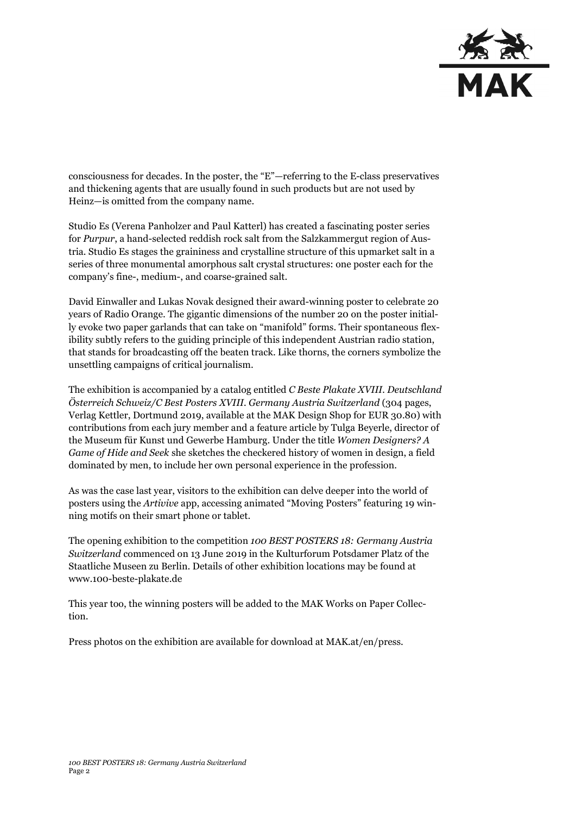

consciousness for decades. In the poster, the "E"—referring to the E-class preservatives and thickening agents that are usually found in such products but are not used by Heinz—is omitted from the company name.

Studio Es (Verena Panholzer and Paul Katterl) has created a fascinating poster series for *Purpur*, a hand-selected reddish rock salt from the Salzkammergut region of Austria*.* Studio Es stages the graininess and crystalline structure of this upmarket salt in a series of three monumental amorphous salt crystal structures: one poster each for the company's fine-, medium-, and coarse-grained salt.

David Einwaller and Lukas Novak designed their award-winning poster to celebrate 20 years of Radio Orange. The gigantic dimensions of the number 20 on the poster initially evoke two paper garlands that can take on "manifold" forms. Their spontaneous flexibility subtly refers to the guiding principle of this independent Austrian radio station, that stands for broadcasting off the beaten track. Like thorns, the corners symbolize the unsettling campaigns of critical journalism.

The exhibition is accompanied by a catalog entitled *C Beste Plakate XVIII. Deutschland Österreich Schweiz/C Best Posters XVIII. Germany Austria Switzerland* (304 pages, Verlag Kettler, Dortmund 2019, available at the MAK Design Shop for EUR 30.80) with contributions from each jury member and a feature article by Tulga Beyerle, director of the Museum für Kunst und Gewerbe Hamburg. Under the title *Women Designers? A Game of Hide and Seek* she sketches the checkered history of women in design, a field dominated by men, to include her own personal experience in the profession.

As was the case last year, visitors to the exhibition can delve deeper into the world of posters using the *Artivive* app, accessing animated "Moving Posters" featuring 19 winning motifs on their smart phone or tablet.

The opening exhibition to the competition *100 BEST POSTERS 18: Germany Austria Switzerland* commenced on 13 June 2019 in the Kulturforum Potsdamer Platz of the Staatliche Museen zu Berlin. Details of other exhibition locations may be found at [www.100-beste-plakate.de](http://www.100-beste-plakate.de/)

This year too, the winning posters will be added to the MAK Works on Paper Collection.

Press photos on the exhibition are available for download at MAK.at/en/press.